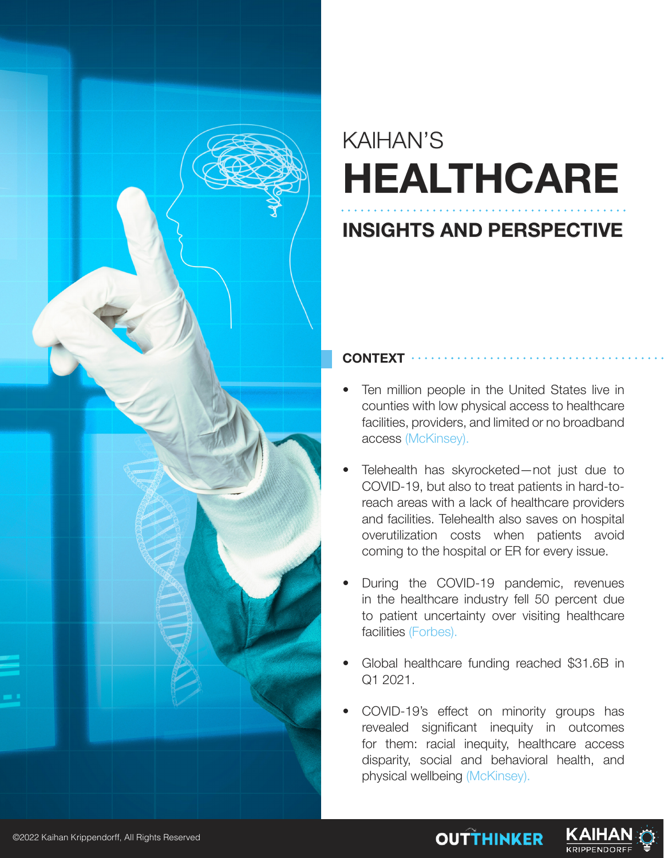

## KAIHAN'S **HEALTHCARE**

### **INSIGHTS AND PERSPECTIVE**

#### **CONTEXT**

- Ten million people in the United States live in counties with low physical access to healthcare facilities, providers, and limited or no broadband access (McKinsey).
- Telehealth has skyrocketed—not just due to COVID-19, but also to treat patients in hard-toreach areas with a lack of healthcare providers and facilities. Telehealth also saves on hospital overutilization costs when patients avoid coming to the hospital or ER for every issue.
- During the COVID-19 pandemic, revenues in the healthcare industry fell 50 percent due to patient uncertainty over visiting healthcare facilities (Forbes).
- Global healthcare funding reached \$31.6B in Q1 2021.
- COVID-19's effect on minority groups has revealed significant inequity in outcomes for them: racial inequity, healthcare access disparity, social and behavioral health, and physical wellbeing (McKinsey).

**OUTTHINKER** 

KAIH

**KRIPPENDOR**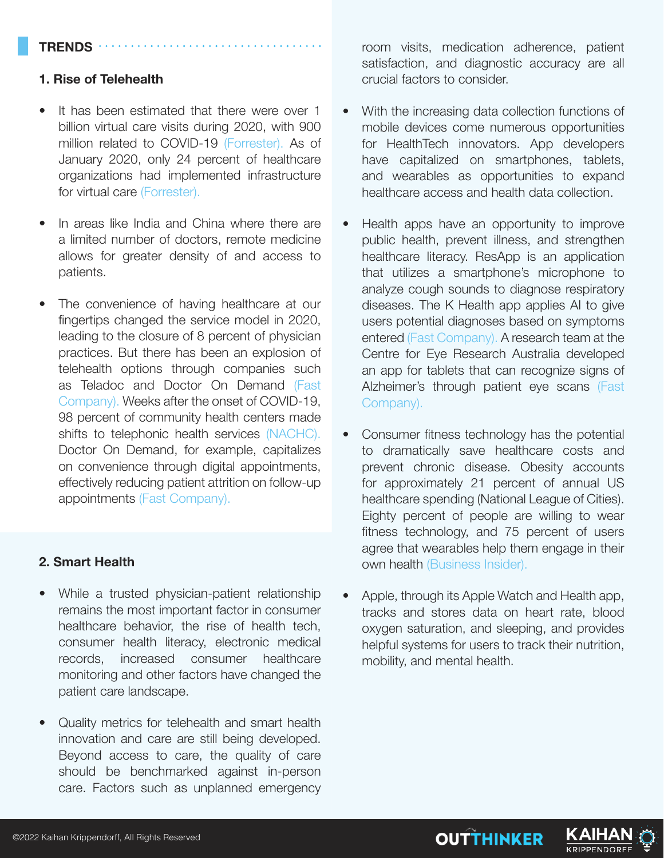#### **TRENDS**

#### **1. Rise of Telehealth**

- It has been estimated that there were over 1 billion virtual care visits during 2020, with 900 million related to COVID-19 (Forrester). As of January 2020, only 24 percent of healthcare organizations had implemented infrastructure for virtual care (Forrester).
- In areas like India and China where there are a limited number of doctors, remote medicine allows for greater density of and access to patients.
- The convenience of having healthcare at our fingertips changed the service model in 2020, leading to the closure of 8 percent of physician practices. But there has been an explosion of telehealth options through companies such as Teladoc and Doctor On Demand (Fast Company). Weeks after the onset of COVID-19, 98 percent of community health centers made shifts to telephonic health services (NACHC). Doctor On Demand, for example, capitalizes on convenience through digital appointments, effectively reducing patient attrition on follow-up appointments (Fast Company).

#### **2. Smart Health**

- While a trusted physician-patient relationship remains the most important factor in consumer healthcare behavior, the rise of health tech, consumer health literacy, electronic medical records, increased consumer healthcare monitoring and other factors have changed the patient care landscape.
- Quality metrics for telehealth and smart health innovation and care are still being developed. Beyond access to care, the quality of care should be benchmarked against in-person care. Factors such as unplanned emergency

room visits, medication adherence, patient satisfaction, and diagnostic accuracy are all crucial factors to consider.

- With the increasing data collection functions of mobile devices come numerous opportunities for HealthTech innovators. App developers have capitalized on smartphones, tablets, and wearables as opportunities to expand healthcare access and health data collection.
- Health apps have an opportunity to improve public health, prevent illness, and strengthen healthcare literacy. ResApp is an application that utilizes a smartphone's microphone to analyze cough sounds to diagnose respiratory diseases. The K Health app applies AI to give users potential diagnoses based on symptoms entered (Fast Company). A research team at the Centre for Eye Research Australia developed an app for tablets that can recognize signs of Alzheimer's through patient eye scans (Fast Company).
- Consumer fitness technology has the potential to dramatically save healthcare costs and prevent chronic disease. Obesity accounts for approximately 21 percent of annual US healthcare spending (National League of Cities). Eighty percent of people are willing to wear fitness technology, and 75 percent of users agree that wearables help them engage in their own health (Business Insider).
- Apple, through its Apple Watch and Health app, tracks and stores data on heart rate, blood oxygen saturation, and sleeping, and provides helpful systems for users to track their nutrition, mobility, and mental health.

**OUTTHINKER** 

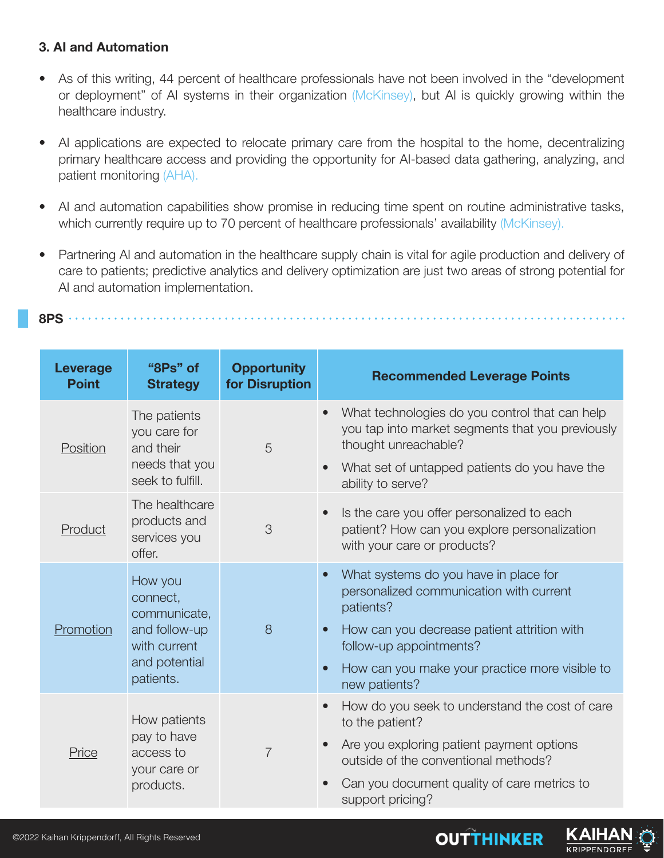#### **3. AI and Automation**

- As of this writing, 44 percent of healthcare professionals have not been involved in the "development or deployment" of AI systems in their organization (McKinsey), but AI is quickly growing within the healthcare industry.
- AI applications are expected to relocate primary care from the hospital to the home, decentralizing primary healthcare access and providing the opportunity for AI-based data gathering, analyzing, and patient monitoring (AHA).
- AI and automation capabilities show promise in reducing time spent on routine administrative tasks, which currently require up to 70 percent of healthcare professionals' availability (McKinsey).
- Partnering AI and automation in the healthcare supply chain is vital for agile production and delivery of care to patients; predictive analytics and delivery optimization are just two areas of strong potential for AI and automation implementation.

**8PS**

| Leverage<br><b>Point</b> | "8Ps" of<br><b>Strategy</b>                                                                        | <b>Opportunity</b><br>for Disruption | <b>Recommended Leverage Points</b>                                                                                                                                                                                                                                                |
|--------------------------|----------------------------------------------------------------------------------------------------|--------------------------------------|-----------------------------------------------------------------------------------------------------------------------------------------------------------------------------------------------------------------------------------------------------------------------------------|
| Position                 | The patients<br>you care for<br>and their<br>needs that you<br>seek to fulfill.                    | 5                                    | What technologies do you control that can help<br>$\bullet$<br>you tap into market segments that you previously<br>thought unreachable?                                                                                                                                           |
|                          |                                                                                                    |                                      | What set of untapped patients do you have the<br>ability to serve?                                                                                                                                                                                                                |
| Product                  | The healthcare<br>products and<br>services you<br>offer.                                           | 3                                    | Is the care you offer personalized to each<br>$\bullet$<br>patient? How can you explore personalization<br>with your care or products?                                                                                                                                            |
| Promotion                | How you<br>connect,<br>communicate,<br>and follow-up<br>with current<br>and potential<br>patients. | 8                                    | What systems do you have in place for<br>$\bullet$<br>personalized communication with current<br>patients?<br>How can you decrease patient attrition with<br>$\bullet$<br>follow-up appointments?<br>How can you make your practice more visible to<br>$\bullet$<br>new patients? |
| Price                    | How patients<br>pay to have<br>access to<br>your care or<br>products.                              | $\overline{7}$                       | How do you seek to understand the cost of care<br>$\bullet$<br>to the patient?<br>Are you exploring patient payment options<br>$\bullet$<br>outside of the conventional methods?<br>Can you document quality of care metrics to<br>$\bullet$<br>support pricing?                  |

**OUTTHINKER**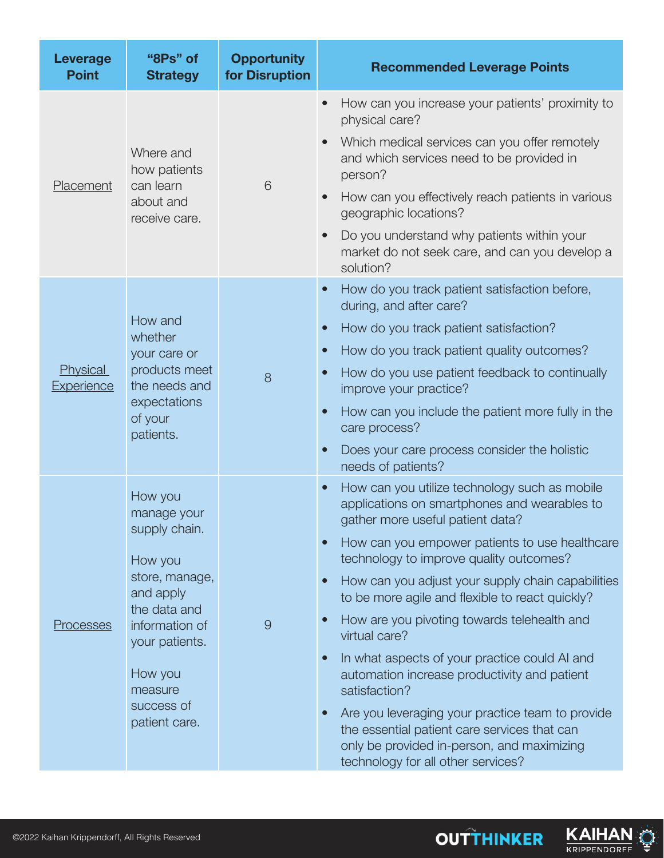| <b>Leverage</b><br><b>Point</b>      | "8Ps" of<br><b>Strategy</b>                                                                                                                                                                | <b>Opportunity</b><br>for Disruption | <b>Recommended Leverage Points</b>                                                                                                                                                                                                                                                                                                                                                                                                                                                                                                                                                                                                                                                                                                                                                             |
|--------------------------------------|--------------------------------------------------------------------------------------------------------------------------------------------------------------------------------------------|--------------------------------------|------------------------------------------------------------------------------------------------------------------------------------------------------------------------------------------------------------------------------------------------------------------------------------------------------------------------------------------------------------------------------------------------------------------------------------------------------------------------------------------------------------------------------------------------------------------------------------------------------------------------------------------------------------------------------------------------------------------------------------------------------------------------------------------------|
| Placement                            | Where and<br>how patients<br>can learn<br>about and<br>receive care.                                                                                                                       | 6                                    | How can you increase your patients' proximity to<br>$\bullet$<br>physical care?<br>Which medical services can you offer remotely<br>$\bullet$<br>and which services need to be provided in<br>person?<br>How can you effectively reach patients in various<br>$\bullet$<br>geographic locations?<br>Do you understand why patients within your<br>$\bullet$<br>market do not seek care, and can you develop a<br>solution?                                                                                                                                                                                                                                                                                                                                                                     |
| <b>Physical</b><br><b>Experience</b> | How and<br>whether<br>your care or<br>products meet<br>the needs and<br>expectations<br>of your<br>patients.                                                                               | 8                                    | How do you track patient satisfaction before,<br>$\bullet$<br>during, and after care?<br>How do you track patient satisfaction?<br>$\bullet$<br>How do you track patient quality outcomes?<br>$\bullet$<br>How do you use patient feedback to continually<br>$\bullet$<br>improve your practice?<br>How can you include the patient more fully in the<br>$\bullet$<br>care process?<br>Does your care process consider the holistic<br>$\bullet$<br>needs of patients?                                                                                                                                                                                                                                                                                                                         |
| <b>Processes</b>                     | How you<br>manage your<br>supply chain.<br>How you<br>store, manage,<br>and apply<br>the data and<br>information of<br>your patients.<br>How you<br>measure<br>success of<br>patient care. | 9                                    | How can you utilize technology such as mobile<br>$\bullet$<br>applications on smartphones and wearables to<br>gather more useful patient data?<br>How can you empower patients to use healthcare<br>$\bullet$<br>technology to improve quality outcomes?<br>How can you adjust your supply chain capabilities<br>$\bullet$<br>to be more agile and flexible to react quickly?<br>How are you pivoting towards telehealth and<br>$\bullet$<br>virtual care?<br>In what aspects of your practice could AI and<br>$\bullet$<br>automation increase productivity and patient<br>satisfaction?<br>Are you leveraging your practice team to provide<br>$\bullet$<br>the essential patient care services that can<br>only be provided in-person, and maximizing<br>technology for all other services? |